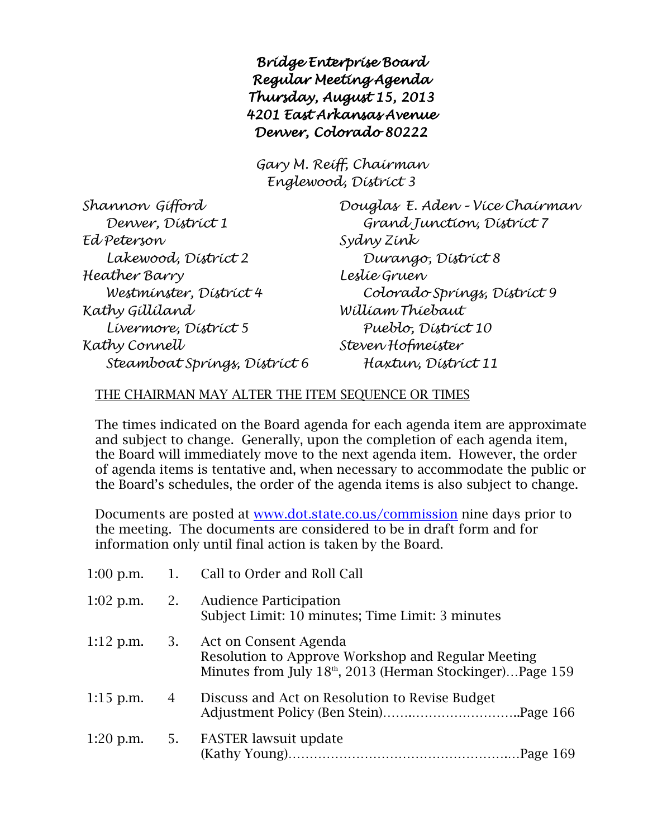*Bridge Enterprise Board Regular Meeting Agenda Thursday, August 15, 2013 4201 East Arkansas Avenue Denver, Colorado 80222* 

*Gary M. Reiff, Chairman Englewood, District 3*

| Shannon Gífford               | Douglas E. Aden - Více Chairman |  |  |
|-------------------------------|---------------------------------|--|--|
| Denver, District 1            | Grand Junction, District 7      |  |  |
| Ed Peterson                   | Sydny Zínk                      |  |  |
| Lakewood, District 2          | Durango, District 8             |  |  |
| Heather Barry                 | Lestie Gruen                    |  |  |
| Westminster, District 4       | Colorado Springs, District 9    |  |  |
| Kathy Gillíland               | William Thiebaut                |  |  |
| Livermore, District 5         | Pueblo, District 10             |  |  |
| Kathy Connell                 | Steven Hofmeister               |  |  |
| Steamboat Springs, District 6 | Haxtun, District 11             |  |  |

## THE CHAIRMAN MAY ALTER THE ITEM SEQUENCE OR TIMES

The times indicated on the Board agenda for each agenda item are approximate and subject to change. Generally, upon the completion of each agenda item, the Board will immediately move to the next agenda item. However, the order of agenda items is tentative and, when necessary to accommodate the public or the Board's schedules, the order of the agenda items is also subject to change.

Documents are posted at [www.dot.state.co.us/commission](http://www.dot.state.co.us/commission) nine days prior to the meeting. The documents are considered to be in draft form and for information only until final action is taken by the Board.

|             |                | 1:00 p.m. 1. Call to Order and Roll Call                                                                                                                          |
|-------------|----------------|-------------------------------------------------------------------------------------------------------------------------------------------------------------------|
| $1:02$ p.m. |                | 2. Audience Participation<br>Subject Limit: 10 minutes; Time Limit: 3 minutes                                                                                     |
|             |                | 1:12 p.m. 3. Act on Consent Agenda<br>Resolution to Approve Workshop and Regular Meeting<br>Minutes from July 18 <sup>th</sup> , 2013 (Herman Stockinger)Page 159 |
| $1:15$ p.m. | $\overline{4}$ | Discuss and Act on Resolution to Revise Budget                                                                                                                    |
|             |                | 1:20 p.m. 5. FASTER lawsuit update                                                                                                                                |